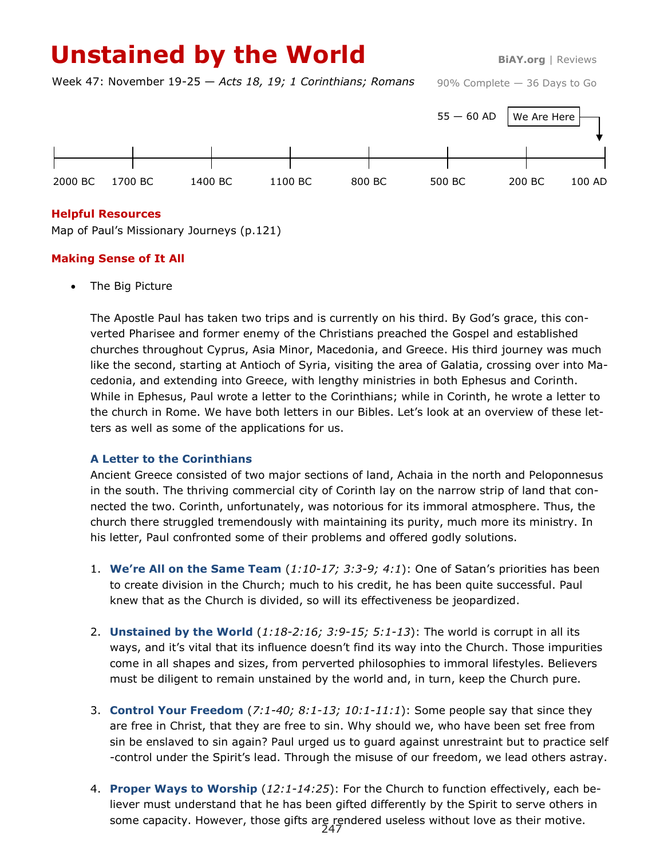# Unstained by the World **BiAY.org | Reviews**

Week 47: November 19-25 — *Acts 18, 19; 1 Corinthians; Romans*

90% Complete — 36 Days to Go



## **Helpful Resources**

Map of Paul's Missionary Journeys (p.121)

## **Making Sense of It All**

The Big Picture

The Apostle Paul has taken two trips and is currently on his third. By God's grace, this converted Pharisee and former enemy of the Christians preached the Gospel and established churches throughout Cyprus, Asia Minor, Macedonia, and Greece. His third journey was much like the second, starting at Antioch of Syria, visiting the area of Galatia, crossing over into Macedonia, and extending into Greece, with lengthy ministries in both Ephesus and Corinth. While in Ephesus, Paul wrote a letter to the Corinthians; while in Corinth, he wrote a letter to the church in Rome. We have both letters in our Bibles. Let's look at an overview of these letters as well as some of the applications for us.

### **A Letter to the Corinthians**

Ancient Greece consisted of two major sections of land, Achaia in the north and Peloponnesus in the south. The thriving commercial city of Corinth lay on the narrow strip of land that connected the two. Corinth, unfortunately, was notorious for its immoral atmosphere. Thus, the church there struggled tremendously with maintaining its purity, much more its ministry. In his letter, Paul confronted some of their problems and offered godly solutions.

- 1. **We're All on the Same Team** (*1:10-17; 3:3-9; 4:1*): One of Satan's priorities has been to create division in the Church; much to his credit, he has been quite successful. Paul knew that as the Church is divided, so will its effectiveness be jeopardized.
- 2. **Unstained by the World** (*1:18-2:16; 3:9-15; 5:1-13*): The world is corrupt in all its ways, and it's vital that its influence doesn't find its way into the Church. Those impurities come in all shapes and sizes, from perverted philosophies to immoral lifestyles. Believers must be diligent to remain unstained by the world and, in turn, keep the Church pure.
- 3. **Control Your Freedom** (*7:1-40; 8:1-13; 10:1-11:1*): Some people say that since they are free in Christ, that they are free to sin. Why should we, who have been set free from sin be enslaved to sin again? Paul urged us to guard against unrestraint but to practice self -control under the Spirit's lead. Through the misuse of our freedom, we lead others astray.
- 4. **Proper Ways to Worship** (*12:1-14:25*): For the Church to function effectively, each believer must understand that he has been gifted differently by the Spirit to serve others in some capacity. However, those gifts are rendered useless without love as their motive.